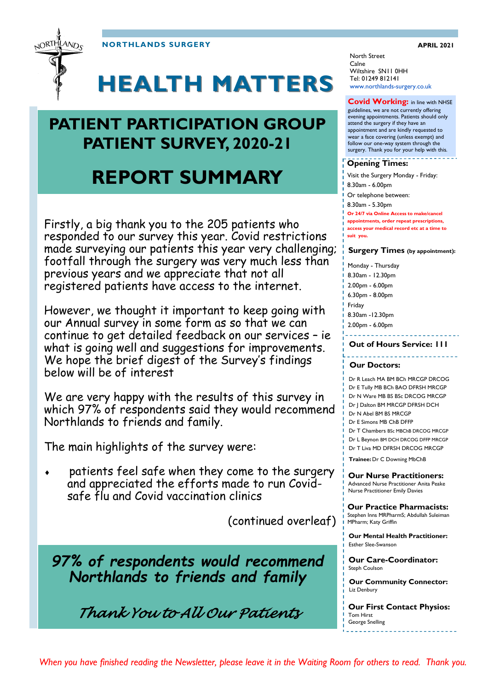**NORTHLANDS SURGERY APRIL 2021** 



# **HEALTH MATTERS**

### **PATIENT PARTICIPATION GROUP PATIENT SURVEY, 2020-21**

# **REPORT SUMMARY**

Firstly, a big thank you to the 205 patients who responded to our survey this year. Covid restrictions made surveying our patients this year very challenging; footfall through the surgery was very much less than previous years and we appreciate that not all registered patients have access to the internet.

However, we thought it important to keep going with our Annual survey in some form as so that we can continue to get detailed feedback on our services – ie what is going well and suggestions for improvements. We hope the brief digest of the Survey's findings below will be of interest

We are very happy with the results of this survey in which 97% of respondents said they would recommend Northlands to friends and family.

The main highlights of the survey were:

 patients feel safe when they come to the surgery and appreciated the efforts made to run Covidsafe flu and Covid vaccination clinics

(continued overleaf)

*97% of respondents would recommend Northlands to friends and family* 

*Thank You to All Our Patients* 

North Street Calne Wiltshire SN11 0HH Tel: 01249 812141 www.northlands-surgery.co.uk

#### **Covid Working:** in line with NHSE

guidelines, we are not currently offering evening appointments. Patients should only attend the surgery if they have an appointment and are kindly requested to wear a face covering (unless exempt) and follow our one-way system through the surgery. Thank you for your help with this.

#### **Opening Times:**

Visit the Surgery Monday - Friday: 8.30am - 6.00pm Or telephone between: 8.30am - 5.30pm

**Or 24/7 via Online Access to make/cancel** 

**appointments, order repeat prescriptions, access your medical record etc at a time to** 

**suit you.** 

#### **Surgery Times (by appointment):**

Monday - Thursday 8.30am - 12.30pm 2.00pm - 6.00pm 6.30pm - 8.00pm Friday 8.30am -12.30pm

2.00pm - 6.00pm

**Out of Hours Service: 111**

#### <u>odobodo</u> **Our Doctors:**

Dr R Leach MA BM BCh MRCGP DRCOG Dr E Tully MB BCh BAO DFRSH MRCGP Dr N Ware MB BS BSc DRCOG MRCGP Dr J Dalton BM MRCGP DFRSH DCH Dr N Abel BM BS MRCGP Dr E Simons MB ChB DFFP Dr T Chambers BSc MBChB DRCOG MRCGP Dr L Beynon BM DCH DRCOG DFFP MRCGP Dr T Liva MD DFRSH DRCOG MRCGP

**Trainee:** Dr C Downing MbChB

**Our Nurse Practitioners:**  Advanced Nurse Practitioner Anita Peake Nurse Practitioner Emily Davies

**Our Practice Pharmacists:**  Stephen Inns MRPharmS; Abdullah Suleiman MPharm; Katy Griffin

**Our Mental Health Practitioner:**  Esther Slee-Swanson

**Our Care-Coordinator:**  Steph Coulson

**Our Community Connector:**  Liz Denbury

**Our First Contact Physios:**  Tom Hirst George Snelling

*When you have finished reading the Newsletter, please leave it in the Waiting Room for others to read. Thank you.*